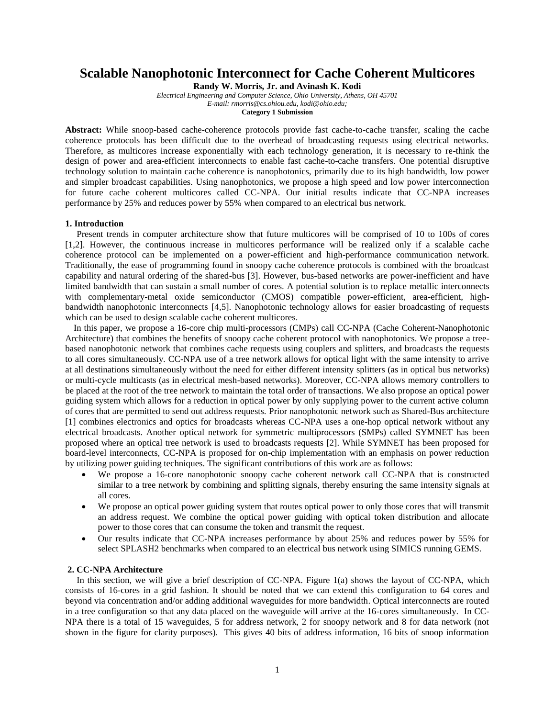# **Scalable Nanophotonic Interconnect for Cache Coherent Multicores**

**Randy W. Morris, Jr. and Avinash K. Kodi**

*Electrical Engineering and Computer Science, Ohio University, Athens, OH 45701 E-mail: rmorris@cs.ohiou.edu, kodi@ohio.edu;* 

**Category 1 Submission**

**Abstract:** While snoop-based cache-coherence protocols provide fast cache-to-cache transfer, scaling the cache coherence protocols has been difficult due to the overhead of broadcasting requests using electrical networks. Therefore, as multicores increase exponentially with each technology generation, it is necessary to re-think the design of power and area-efficient interconnects to enable fast cache-to-cache transfers. One potential disruptive technology solution to maintain cache coherence is nanophotonics, primarily due to its high bandwidth, low power and simpler broadcast capabilities. Using nanophotonics, we propose a high speed and low power interconnection for future cache coherent multicores called CC-NPA. Our initial results indicate that CC-NPA increases performance by 25% and reduces power by 55% when compared to an electrical bus network.

## **1. Introduction**

 Present trends in computer architecture show that future multicores will be comprised of 10 to 100s of cores [1,2]. However, the continuous increase in multicores performance will be realized only if a scalable cache coherence protocol can be implemented on a power-efficient and high-performance communication network. Traditionally, the ease of programming found in snoopy cache coherence protocols is combined with the broadcast capability and natural ordering of the shared-bus [3]. However, bus-based networks are power-inefficient and have limited bandwidth that can sustain a small number of cores. A potential solution is to replace metallic interconnects with complementary-metal oxide semiconductor (CMOS) compatible power-efficient, area-efficient, highbandwidth nanophotonic interconnects [4,5]. Nanophotonic technology allows for easier broadcasting of requests which can be used to design scalable cache coherent multicores.

In this paper, we propose a 16-core chip multi-processors (CMPs) call CC-NPA (Cache Coherent-Nanophotonic Architecture) that combines the benefits of snoopy cache coherent protocol with nanophotonics. We propose a treebased nanophotonic network that combines cache requests using couplers and splitters, and broadcasts the requests to all cores simultaneously. CC-NPA use of a tree network allows for optical light with the same intensity to arrive at all destinations simultaneously without the need for either different intensity splitters (as in optical bus networks) or multi-cycle multicasts (as in electrical mesh-based networks). Moreover, CC-NPA allows memory controllers to be placed at the root of the tree network to maintain the total order of transactions. We also propose an optical power guiding system which allows for a reduction in optical power by only supplying power to the current active column of cores that are permitted to send out address requests. Prior nanophotonic network such as Shared-Bus architecture [1] combines electronics and optics for broadcasts whereas CC-NPA uses a one-hop optical network without any electrical broadcasts. Another optical network for symmetric multiprocessors (SMPs) called SYMNET has been proposed where an optical tree network is used to broadcasts requests [2]. While SYMNET has been proposed for board-level interconnects, CC-NPA is proposed for on-chip implementation with an emphasis on power reduction by utilizing power guiding techniques. The significant contributions of this work are as follows:

- We propose a 16-core nanophotonic snoopy cache coherent network call CC-NPA that is constructed similar to a tree network by combining and splitting signals, thereby ensuring the same intensity signals at all cores.
- We propose an optical power guiding system that routes optical power to only those cores that will transmit an address request. We combine the optical power guiding with optical token distribution and allocate power to those cores that can consume the token and transmit the request.
- Our results indicate that CC-NPA increases performance by about 25% and reduces power by 55% for select SPLASH2 benchmarks when compared to an electrical bus network using SIMICS running GEMS.

### **2. CC-NPA Architecture**

 In this section, we will give a brief description of CC-NPA. Figure 1(a) shows the layout of CC-NPA, which consists of 16-cores in a grid fashion. It should be noted that we can extend this configuration to 64 cores and beyond via concentration and/or adding additional waveguides for more bandwidth. Optical interconnects are routed in a tree configuration so that any data placed on the waveguide will arrive at the 16-cores simultaneously. In CC-NPA there is a total of 15 waveguides, 5 for address network, 2 for snoopy network and 8 for data network (not shown in the figure for clarity purposes). This gives 40 bits of address information, 16 bits of snoop information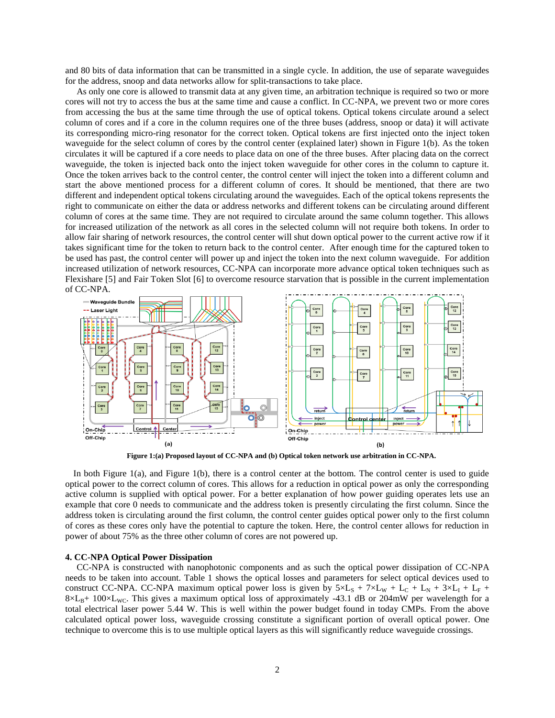and 80 bits of data information that can be transmitted in a single cycle. In addition, the use of separate waveguides for the address, snoop and data networks allow for split-transactions to take place.

 As only one core is allowed to transmit data at any given time, an arbitration technique is required so two or more cores will not try to access the bus at the same time and cause a conflict. In CC-NPA, we prevent two or more cores from accessing the bus at the same time through the use of optical tokens. Optical tokens circulate around a select column of cores and if a core in the column requires one of the three buses (address, snoop or data) it will activate its corresponding micro-ring resonator for the correct token. Optical tokens are first injected onto the inject token waveguide for the select column of cores by the control center (explained later) shown in Figure 1(b). As the token circulates it will be captured if a core needs to place data on one of the three buses. After placing data on the correct waveguide, the token is injected back onto the inject token waveguide for other cores in the column to capture it. Once the token arrives back to the control center, the control center will inject the token into a different column and start the above mentioned process for a different column of cores. It should be mentioned, that there are two different and independent optical tokens circulating around the waveguides. Each of the optical tokens represents the right to communicate on either the data or address networks and different tokens can be circulating around different column of cores at the same time. They are not required to circulate around the same column together. This allows for increased utilization of the network as all cores in the selected column will not require both tokens. In order to allow fair sharing of network resources, the control center will shut down optical power to the current active row if it takes significant time for the token to return back to the control center. After enough time for the captured token to be used has past, the control center will power up and inject the token into the next column waveguide. For addition increased utilization of network resources, CC-NPA can incorporate more advance optical token techniques such as Flexishare [5] and Fair Token Slot [6] to overcome resource starvation that is possible in the current implementation of CC-NPA.



**Figure 1:(a) Proposed layout of CC-NPA and (b) Optical token network use arbitration in CC-NPA.**

In both Figure 1(a), and Figure 1(b), there is a control center at the bottom. The control center is used to guide optical power to the correct column of cores. This allows for a reduction in optical power as only the corresponding active column is supplied with optical power. For a better explanation of how power guiding operates lets use an example that core 0 needs to communicate and the address token is presently circulating the first column. Since the address token is circulating around the first column, the control center guides optical power only to the first column of cores as these cores only have the potential to capture the token. Here, the control center allows for reduction in power of about 75% as the three other column of cores are not powered up.

### **4. CC-NPA Optical Power Dissipation**

 CC-NPA is constructed with nanophotonic components and as such the optical power dissipation of CC-NPA needs to be taken into account. Table 1 shows the optical losses and parameters for select optical devices used to construct CC-NPA. CC-NPA maximum optical power loss is given by  $5\times L_s + 7\times L_w + L_c + L_N + 3\times L_l + L_F +$  $8\times L_{B}$ + 100 $\times$ L<sub>WC</sub>. This gives a maximum optical loss of approximately -43.1 dB or 204mW per wavelength for a total electrical laser power 5.44 W. This is well within the power budget found in today CMPs. From the above calculated optical power loss, waveguide crossing constitute a significant portion of overall optical power. One technique to overcome this is to use multiple optical layers as this will significantly reduce waveguide crossings.